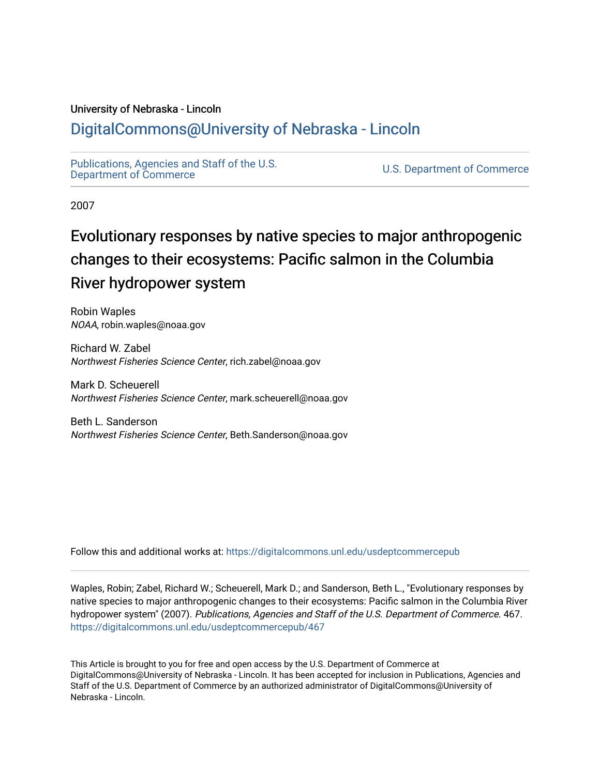## University of Nebraska - Lincoln

## [DigitalCommons@University of Nebraska - Lincoln](https://digitalcommons.unl.edu/)

[Publications, Agencies and Staff of the U.S.](https://digitalcommons.unl.edu/usdeptcommercepub)

U.S. [Department of Commerce](https://digitalcommons.unl.edu/usdeptcommercepub)

2007

# Evolutionary responses by native species to major anthropogenic changes to their ecosystems: Pacific salmon in the Columbia River hydropower system

Robin Waples NOAA, robin.waples@noaa.gov

Richard W. Zabel Northwest Fisheries Science Center, rich.zabel@noaa.gov

Mark D. Scheuerell Northwest Fisheries Science Center, mark.scheuerell@noaa.gov

Beth L. Sanderson Northwest Fisheries Science Center, Beth.Sanderson@noaa.gov

Follow this and additional works at: [https://digitalcommons.unl.edu/usdeptcommercepub](https://digitalcommons.unl.edu/usdeptcommercepub?utm_source=digitalcommons.unl.edu%2Fusdeptcommercepub%2F467&utm_medium=PDF&utm_campaign=PDFCoverPages)

Waples, Robin; Zabel, Richard W.; Scheuerell, Mark D.; and Sanderson, Beth L., "Evolutionary responses by native species to major anthropogenic changes to their ecosystems: Pacific salmon in the Columbia River hydropower system" (2007). Publications, Agencies and Staff of the U.S. Department of Commerce. 467. [https://digitalcommons.unl.edu/usdeptcommercepub/467](https://digitalcommons.unl.edu/usdeptcommercepub/467?utm_source=digitalcommons.unl.edu%2Fusdeptcommercepub%2F467&utm_medium=PDF&utm_campaign=PDFCoverPages) 

This Article is brought to you for free and open access by the U.S. Department of Commerce at DigitalCommons@University of Nebraska - Lincoln. It has been accepted for inclusion in Publications, Agencies and Staff of the U.S. Department of Commerce by an authorized administrator of DigitalCommons@University of Nebraska - Lincoln.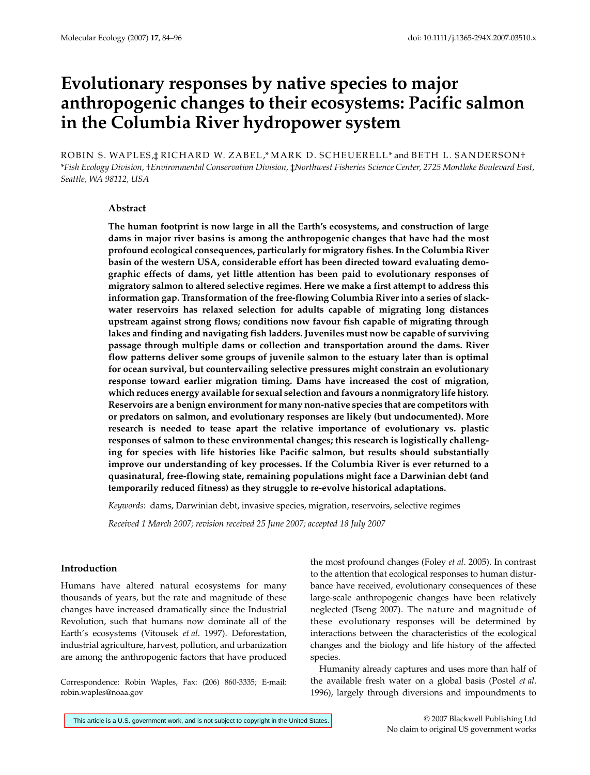## Evolutionary responses by native species to major **anthropogenic changes to their ecosystems: Pacific salmon in the Columbia River hydropower system**

ROBIN S. WAPLES,‡ RICHARD W. ZABEL,\* MARK D. SCHEUERELL\* and BETH L. SANDERSON† \**Fish Ecology Division,* †*Environmental Conservation Division,* ‡*Northwest Fisheries Science Center, 2725 Montlake Boulevard East, Seattle, WA 98112, USA*

## **Abstract**

**The human footprint is now large in all the Earth's ecosystems, and construction of large dams in major river basins is among the anthropogenic changes that have had the most profound ecological consequences, particularly for migratory fishes. In the Columbia River basin of the western USA, considerable effort has been directed toward evaluating demographic effects of dams, yet little attention has been paid to evolutionary responses of migratory salmon to altered selective regimes. Here we make a first attempt to address this information gap. Transformation of the free-flowing Columbia River into a series of slackwater reservoirs has relaxed selection for adults capable of migrating long distances upstream against strong flows; conditions now favour fish capable of migrating through lakes and finding and navigating fish ladders. Juveniles must now be capable of surviving passage through multiple dams or collection and transportation around the dams. River flow patterns deliver some groups of juvenile salmon to the estuary later than is optimal for ocean survival, but countervailing selective pressures might constrain an evolutionary response toward earlier migration timing. Dams have increased the cost of migration, which reduces energy available for sexual selection and favours a nonmigratory life history. Reservoirs are a benign environment for many non-native species that are competitors with or predators on salmon, and evolutionary responses are likely (but undocumented). More research is needed to tease apart the relative importance of evolutionary vs. plastic responses of salmon to these environmental changes; this research is logistically challenging for species with life histories like Pacific salmon, but results should substantially improve our understanding of key processes. If the Columbia River is ever returned to a quasinatural, free-flowing state, remaining populations might face a Darwinian debt (and temporarily reduced fitness) as they struggle to re-evolve historical adaptations.**

*Keywords*: dams, Darwinian debt, invasive species, migration, reservoirs, selective regimes

*Received 1 March 2007; revision received 25 June 2007; accepted 18 July 2007*

## **Introduction**

Humans have altered natural ecosystems for many thousands of years, but the rate and magnitude of these changes have increased dramatically since the Industrial Revolution, such that humans now dominate all of the Earth's ecosystems (Vitousek *et al*. 1997). Deforestation, industrial agriculture, harvest, pollution, and urbanization are among the anthropogenic factors that have produced

Correspondence: Robin Waples, Fax: (206) 860-3335; E-mail: robin.waples@noaa.gov

the most profound changes (Foley *et al*. 2005). In contrast to the attention that ecological responses to human disturbance have received, evolutionary consequences of these large-scale anthropogenic changes have been relatively neglected (Tseng 2007). The nature and magnitude of these evolutionary responses will be determined by interactions between the characteristics of the ecological changes and the biology and life history of the affected species.

Humanity already captures and uses more than half of the available fresh water on a global basis (Postel *et al*. 1996), largely through diversions and impoundments to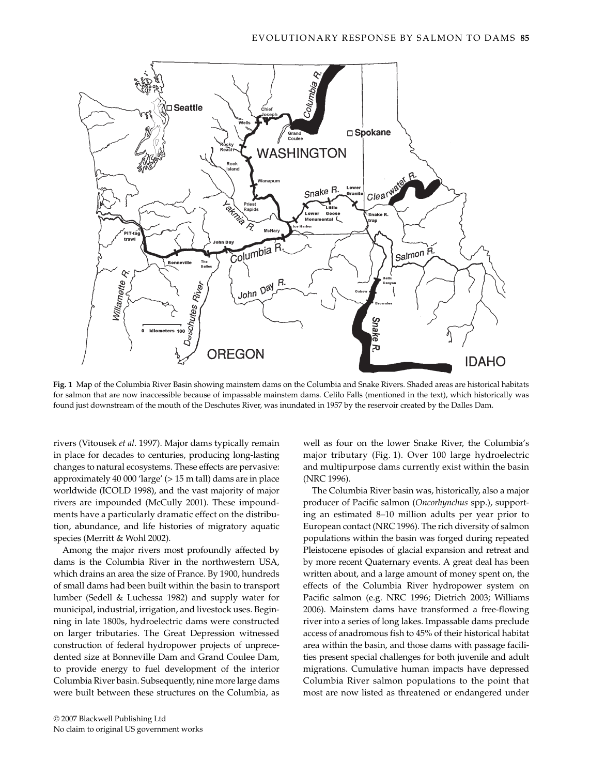

**Fig. 1** Map of the Columbia River Basin showing mainstem dams on the Columbia and Snake Rivers. Shaded areas are historical habitats for salmon that are now inaccessible because of impassable mainstem dams. Celilo Falls (mentioned in the text), which historically was found just downstream of the mouth of the Deschutes River, was inundated in 1957 by the reservoir created by the Dalles Dam.

rivers (Vitousek *et al*. 1997). Major dams typically remain in place for decades to centuries, producing long-lasting changes to natural ecosystems. These effects are pervasive: approximately 40 000 'large' (> 15 m tall) dams are in place worldwide (ICOLD 1998), and the vast majority of major rivers are impounded (McCully 2001). These impoundments have a particularly dramatic effect on the distribution, abundance, and life histories of migratory aquatic species (Merritt & Wohl 2002).

Among the major rivers most profoundly affected by dams is the Columbia River in the northwestern USA, which drains an area the size of France. By 1900, hundreds of small dams had been built within the basin to transport lumber (Sedell & Luchessa 1982) and supply water for municipal, industrial, irrigation, and livestock uses. Beginning in late 1800s, hydroelectric dams were constructed on larger tributaries. The Great Depression witnessed construction of federal hydropower projects of unprecedented size at Bonneville Dam and Grand Coulee Dam, to provide energy to fuel development of the interior Columbia River basin. Subsequently, nine more large dams were built between these structures on the Columbia, as

well as four on the lower Snake River, the Columbia's major tributary (Fig. 1). Over 100 large hydroelectric and multipurpose dams currently exist within the basin (NRC 1996).

The Columbia River basin was, historically, also a major producer of Pacific salmon (*Oncorhynchus* spp.), supporting an estimated 8–10 million adults per year prior to European contact (NRC 1996). The rich diversity of salmon populations within the basin was forged during repeated Pleistocene episodes of glacial expansion and retreat and by more recent Quaternary events. A great deal has been written about, and a large amount of money spent on, the effects of the Columbia River hydropower system on Pacific salmon (e.g. NRC 1996; Dietrich 2003; Williams 2006). Mainstem dams have transformed a free-flowing river into a series of long lakes. Impassable dams preclude access of anadromous fish to 45% of their historical habitat area within the basin, and those dams with passage facilities present special challenges for both juvenile and adult migrations. Cumulative human impacts have depressed Columbia River salmon populations to the point that most are now listed as threatened or endangered under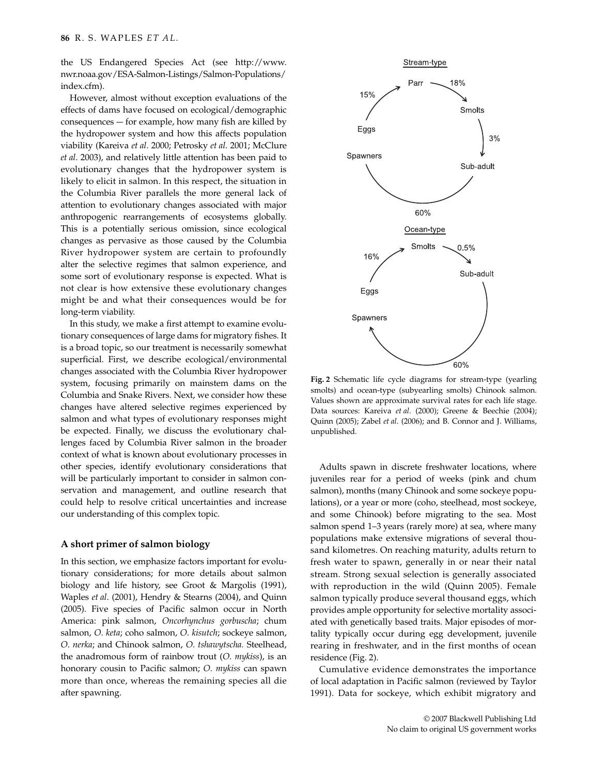[the US Endangered Species Act \(see http://www.](http://www.nwr.noaa.gov/ESA-Salmon-Listings/Salmon-Populations/index.cfm) nwr.noaa.gov/ESA-Salmon-Listings/Salmon-Populations/ index.cfm).

However, almost without exception evaluations of the effects of dams have focused on ecological/demographic consequences — for example, how many fish are killed by the hydropower system and how this affects population viability (Kareiva *et al*. 2000; Petrosky *et al*. 2001; McClure *et al*. 2003), and relatively little attention has been paid to evolutionary changes that the hydropower system is likely to elicit in salmon. In this respect, the situation in the Columbia River parallels the more general lack of attention to evolutionary changes associated with major anthropogenic rearrangements of ecosystems globally. This is a potentially serious omission, since ecological changes as pervasive as those caused by the Columbia River hydropower system are certain to profoundly alter the selective regimes that salmon experience, and some sort of evolutionary response is expected. What is not clear is how extensive these evolutionary changes might be and what their consequences would be for long-term viability.

In this study, we make a first attempt to examine evolutionary consequences of large dams for migratory fishes. It is a broad topic, so our treatment is necessarily somewhat superficial. First, we describe ecological/environmental changes associated with the Columbia River hydropower system, focusing primarily on mainstem dams on the Columbia and Snake Rivers. Next, we consider how these changes have altered selective regimes experienced by salmon and what types of evolutionary responses might be expected. Finally, we discuss the evolutionary challenges faced by Columbia River salmon in the broader context of what is known about evolutionary processes in other species, identify evolutionary considerations that will be particularly important to consider in salmon conservation and management, and outline research that could help to resolve critical uncertainties and increase our understanding of this complex topic.

## **A short primer of salmon biology**

In this section, we emphasize factors important for evolutionary considerations; for more details about salmon biology and life history, see Groot & Margolis (1991), Waples *et al*. (2001), Hendry & Stearns (2004), and Quinn (2005). Five species of Pacific salmon occur in North America: pink salmon, *Oncorhynchus gorbuscha*; chum salmon, *O*. *keta*; coho salmon, *O*. *kisutch*; sockeye salmon, *O*. *nerka*; and Chinook salmon, *O*. *tshawytscha.* Steelhead, the anadromous form of rainbow trout (*O. mykiss*), is an honorary cousin to Pacific salmon; *O. mykiss* can spawn more than once, whereas the remaining species all die after spawning.



**Fig. 2** Schematic life cycle diagrams for stream-type (yearling smolts) and ocean-type (subyearling smolts) Chinook salmon. Values shown are approximate survival rates for each life stage. Data sources: Kareiva *et al*. (2000); Greene & Beechie (2004); Quinn (2005); Zabel *et al*. (2006); and B. Connor and J. Williams, unpublished.

Adults spawn in discrete freshwater locations, where juveniles rear for a period of weeks (pink and chum salmon), months (many Chinook and some sockeye populations), or a year or more (coho, steelhead, most sockeye, and some Chinook) before migrating to the sea. Most salmon spend 1–3 years (rarely more) at sea, where many populations make extensive migrations of several thousand kilometres. On reaching maturity, adults return to fresh water to spawn, generally in or near their natal stream. Strong sexual selection is generally associated with reproduction in the wild (Quinn 2005). Female salmon typically produce several thousand eggs, which provides ample opportunity for selective mortality associated with genetically based traits. Major episodes of mortality typically occur during egg development, juvenile rearing in freshwater, and in the first months of ocean residence (Fig. 2).

Cumulative evidence demonstrates the importance of local adaptation in Pacific salmon (reviewed by Taylor 1991). Data for sockeye, which exhibit migratory and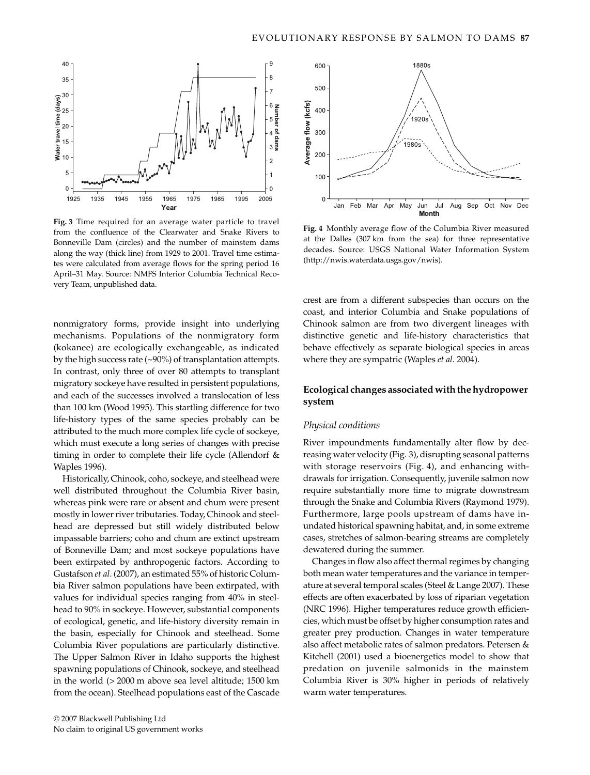

**Fig. 3** Time required for an average water particle to travel from the confluence of the Clearwater and Snake Rivers to Bonneville Dam (circles) and the number of mainstem dams along the way (thick line) from 1929 to 2001. Travel time estimates were calculated from average flows for the spring period 16 April–31 May. Source: NMFS Interior Columbia Technical Recovery Team, unpublished data.

nonmigratory forms, provide insight into underlying mechanisms. Populations of the nonmigratory form (kokanee) are ecologically exchangeable, as indicated by the high success rate (~90%) of transplantation attempts. In contrast, only three of over 80 attempts to transplant migratory sockeye have resulted in persistent populations, and each of the successes involved a translocation of less than 100 km (Wood 1995). This startling difference for two life-history types of the same species probably can be attributed to the much more complex life cycle of sockeye, which must execute a long series of changes with precise timing in order to complete their life cycle (Allendorf & Waples 1996).

Historically, Chinook, coho, sockeye, and steelhead were well distributed throughout the Columbia River basin, whereas pink were rare or absent and chum were present mostly in lower river tributaries. Today, Chinook and steelhead are depressed but still widely distributed below impassable barriers; coho and chum are extinct upstream of Bonneville Dam; and most sockeye populations have been extirpated by anthropogenic factors. According to Gustafson *et al*. (2007), an estimated 55% of historic Columbia River salmon populations have been extirpated, with values for individual species ranging from 40% in steelhead to 90% in sockeye. However, substantial components of ecological, genetic, and life-history diversity remain in the basin, especially for Chinook and steelhead. Some Columbia River populations are particularly distinctive. The Upper Salmon River in Idaho supports the highest spawning populations of Chinook, sockeye, and steelhead in the world (> 2000 m above sea level altitude; 1500 km from the ocean). Steelhead populations east of the Cascade



**Fig. 4** Monthly average flow of the Columbia River measured at the Dalles (307 km from the sea) for three representative decades. Source: USGS National Water Information System [\(http://nwis.waterdata.usgs.gov/nwis\).](http://nwis.waterdata.usgs.gov/nwis)

crest are from a different subspecies than occurs on the coast, and interior Columbia and Snake populations of Chinook salmon are from two divergent lineages with distinctive genetic and life-history characteristics that behave effectively as separate biological species in areas where they are sympatric (Waples *et al*. 2004).

## **Ecological changes associated with the hydropower system**

## *Physical conditions*

River impoundments fundamentally alter flow by decreasing water velocity (Fig. 3), disrupting seasonal patterns with storage reservoirs (Fig. 4), and enhancing withdrawals for irrigation. Consequently, juvenile salmon now require substantially more time to migrate downstream through the Snake and Columbia Rivers (Raymond 1979). Furthermore, large pools upstream of dams have inundated historical spawning habitat, and, in some extreme cases, stretches of salmon-bearing streams are completely dewatered during the summer.

Changes in flow also affect thermal regimes by changing both mean water temperatures and the variance in temperature at several temporal scales (Steel & Lange 2007). These effects are often exacerbated by loss of riparian vegetation (NRC 1996). Higher temperatures reduce growth efficiencies, which must be offset by higher consumption rates and greater prey production. Changes in water temperature also affect metabolic rates of salmon predators. Petersen & Kitchell (2001) used a bioenergetics model to show that predation on juvenile salmonids in the mainstem Columbia River is 30% higher in periods of relatively warm water temperatures.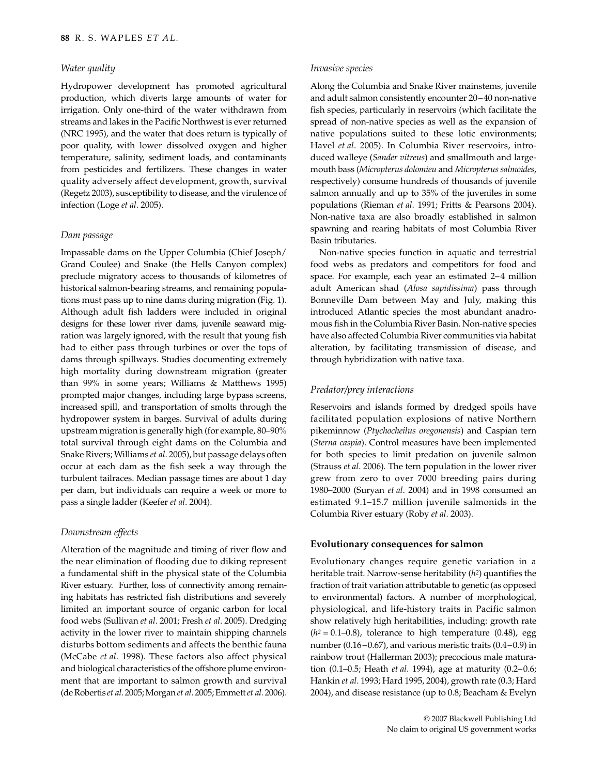## *Water quality*

Hydropower development has promoted agricultural production, which diverts large amounts of water for irrigation. Only one-third of the water withdrawn from streams and lakes in the Pacific Northwest is ever returned (NRC 1995), and the water that does return is typically of poor quality, with lower dissolved oxygen and higher temperature, salinity, sediment loads, and contaminants from pesticides and fertilizers. These changes in water quality adversely affect development, growth, survival (Regetz 2003), susceptibility to disease, and the virulence of infection (Loge *et al*. 2005).

## *Dam passage*

Impassable dams on the Upper Columbia (Chief Joseph/ Grand Coulee) and Snake (the Hells Canyon complex) preclude migratory access to thousands of kilometres of historical salmon-bearing streams, and remaining populations must pass up to nine dams during migration (Fig. 1). Although adult fish ladders were included in original designs for these lower river dams, juvenile seaward migration was largely ignored, with the result that young fish had to either pass through turbines or over the tops of dams through spillways. Studies documenting extremely high mortality during downstream migration (greater than 99% in some years; Williams & Matthews 1995) prompted major changes, including large bypass screens, increased spill, and transportation of smolts through the hydropower system in barges. Survival of adults during upstream migration is generally high (for example, 80–90% total survival through eight dams on the Columbia and Snake Rivers; Williams *et al*. 2005), but passage delays often occur at each dam as the fish seek a way through the turbulent tailraces. Median passage times are about 1 day per dam, but individuals can require a week or more to pass a single ladder (Keefer *et al*. 2004).

## *Downstream effects*

Alteration of the magnitude and timing of river flow and the near elimination of flooding due to diking represent a fundamental shift in the physical state of the Columbia River estuary. Further, loss of connectivity among remaining habitats has restricted fish distributions and severely limited an important source of organic carbon for local food webs (Sullivan *et al*. 2001; Fresh *et al*. 2005). Dredging activity in the lower river to maintain shipping channels disturbs bottom sediments and affects the benthic fauna (McCabe *et al*. 1998). These factors also affect physical and biological characteristics of the offshore plume environment that are important to salmon growth and survival (de Robertis *et al*. 2005; Morgan *et al*. 2005; Emmett *et al*. 2006).

## *Invasive species*

Along the Columbia and Snake River mainstems, juvenile and adult salmon consistently encounter 20–40 non-native fish species, particularly in reservoirs (which facilitate the spread of non-native species as well as the expansion of native populations suited to these lotic environments; Havel *et al*. 2005). In Columbia River reservoirs, introduced walleye (*Sander vitreus*) and smallmouth and largemouth bass (*Micropterus dolomieu* and *Micropterus salmoides*, respectively) consume hundreds of thousands of juvenile salmon annually and up to 35% of the juveniles in some populations (Rieman *et al*. 1991; Fritts & Pearsons 2004). Non-native taxa are also broadly established in salmon spawning and rearing habitats of most Columbia River Basin tributaries.

Non-native species function in aquatic and terrestrial food webs as predators and competitors for food and space. For example, each year an estimated 2–4 million adult American shad (*Alosa sapidissima*) pass through Bonneville Dam between May and July, making this introduced Atlantic species the most abundant anadromous fish in the Columbia River Basin. Non-native species have also affected Columbia River communities via habitat alteration, by facilitating transmission of disease, and through hybridization with native taxa.

## *Predator/prey interactions*

Reservoirs and islands formed by dredged spoils have facilitated population explosions of native Northern pikeminnow (*Ptychocheilus oregonensis*) and Caspian tern (*Sterna caspia*). Control measures have been implemented for both species to limit predation on juvenile salmon (Strauss *et al*. 2006). The tern population in the lower river grew from zero to over 7000 breeding pairs during 1980–2000 (Suryan *et al*. 2004) and in 1998 consumed an estimated 9.1–15.7 million juvenile salmonids in the Columbia River estuary (Roby *et al*. 2003).

## **Evolutionary consequences for salmon**

Evolutionary changes require genetic variation in a heritable trait. Narrow-sense heritability (*h2*) quantifies the fraction of trait variation attributable to genetic (as opposed to environmental) factors. A number of morphological, physiological, and life-history traits in Pacific salmon show relatively high heritabilities, including: growth rate  $(h^2 = 0.1 - 0.8)$ , tolerance to high temperature  $(0.48)$ , egg number (0.16–0.67), and various meristic traits (0.4–0.9) in rainbow trout (Hallerman 2003); precocious male maturation (0.1–0.5; Heath *et al*. 1994), age at maturity (0.2–0.6; Hankin *et al*. 1993; Hard 1995, 2004), growth rate (0.3; Hard 2004), and disease resistance (up to 0.8; Beacham & Evelyn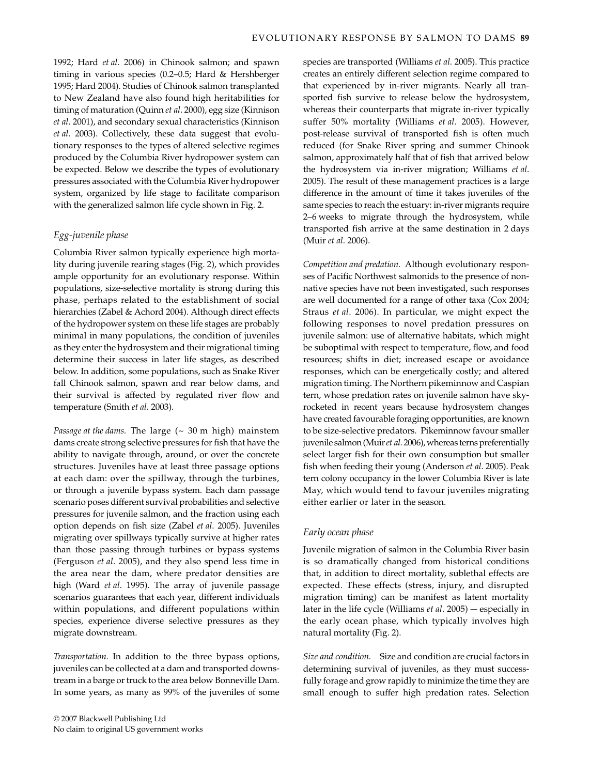1992; Hard *et al*. 2006) in Chinook salmon; and spawn timing in various species (0.2–0.5; Hard & Hershberger 1995; Hard 2004). Studies of Chinook salmon transplanted to New Zealand have also found high heritabilities for timing of maturation (Quinn *et al*. 2000), egg size (Kinnison *et al*. 2001), and secondary sexual characteristics (Kinnison *et al*. 2003). Collectively, these data suggest that evolutionary responses to the types of altered selective regimes produced by the Columbia River hydropower system can be expected. Below we describe the types of evolutionary pressures associated with the Columbia River hydropower system, organized by life stage to facilitate comparison with the generalized salmon life cycle shown in Fig. 2.

## *Egg-juvenile phase*

Columbia River salmon typically experience high mortality during juvenile rearing stages (Fig. 2), which provides ample opportunity for an evolutionary response. Within populations, size-selective mortality is strong during this phase, perhaps related to the establishment of social hierarchies (Zabel & Achord 2004). Although direct effects of the hydropower system on these life stages are probably minimal in many populations, the condition of juveniles as they enter the hydrosystem and their migrational timing determine their success in later life stages, as described below. In addition, some populations, such as Snake River fall Chinook salmon, spawn and rear below dams, and their survival is affected by regulated river flow and temperature (Smith *et al*. 2003).

*Passage at the dams.* The large (~ 30 m high) mainstem dams create strong selective pressures for fish that have the ability to navigate through, around, or over the concrete structures. Juveniles have at least three passage options at each dam: over the spillway, through the turbines, or through a juvenile bypass system. Each dam passage scenario poses different survival probabilities and selective pressures for juvenile salmon, and the fraction using each option depends on fish size (Zabel *et al*. 2005). Juveniles migrating over spillways typically survive at higher rates than those passing through turbines or bypass systems (Ferguson *et al*. 2005), and they also spend less time in the area near the dam, where predator densities are high (Ward *et al*. 1995). The array of juvenile passage scenarios guarantees that each year, different individuals within populations, and different populations within species, experience diverse selective pressures as they migrate downstream.

*Transportation.* In addition to the three bypass options, juveniles can be collected at a dam and transported downstream in a barge or truck to the area below Bonneville Dam. In some years, as many as 99% of the juveniles of some species are transported (Williams *et al*. 2005). This practice creates an entirely different selection regime compared to that experienced by in-river migrants. Nearly all transported fish survive to release below the hydrosystem, whereas their counterparts that migrate in-river typically suffer 50% mortality (Williams *et al*. 2005). However, post-release survival of transported fish is often much reduced (for Snake River spring and summer Chinook salmon, approximately half that of fish that arrived below the hydrosystem via in-river migration; Williams *et al*. 2005). The result of these management practices is a large difference in the amount of time it takes juveniles of the same species to reach the estuary: in-river migrants require 2–6 weeks to migrate through the hydrosystem, while transported fish arrive at the same destination in 2 days (Muir *et al*. 2006).

*Competition and predation.* Although evolutionary responses of Pacific Northwest salmonids to the presence of nonnative species have not been investigated, such responses are well documented for a range of other taxa (Cox 2004; Straus *et al*. 2006). In particular, we might expect the following responses to novel predation pressures on juvenile salmon: use of alternative habitats, which might be suboptimal with respect to temperature, flow, and food resources; shifts in diet; increased escape or avoidance responses, which can be energetically costly; and altered migration timing. The Northern pikeminnow and Caspian tern, whose predation rates on juvenile salmon have skyrocketed in recent years because hydrosystem changes have created favourable foraging opportunities, are known to be size-selective predators. Pikeminnow favour smaller juvenile salmon (Muir *et al*. 2006), whereas terns preferentially select larger fish for their own consumption but smaller fish when feeding their young (Anderson *et al*. 2005). Peak tern colony occupancy in the lower Columbia River is late May, which would tend to favour juveniles migrating either earlier or later in the season.

## *Early ocean phase*

Juvenile migration of salmon in the Columbia River basin is so dramatically changed from historical conditions that, in addition to direct mortality, sublethal effects are expected. These effects (stress, injury, and disrupted migration timing) can be manifest as latent mortality later in the life cycle (Williams *et al*. 2005) — especially in the early ocean phase, which typically involves high natural mortality (Fig. 2).

*Size and condition.* Size and condition are crucial factors in determining survival of juveniles, as they must successfully forage and grow rapidly to minimize the time they are small enough to suffer high predation rates. Selection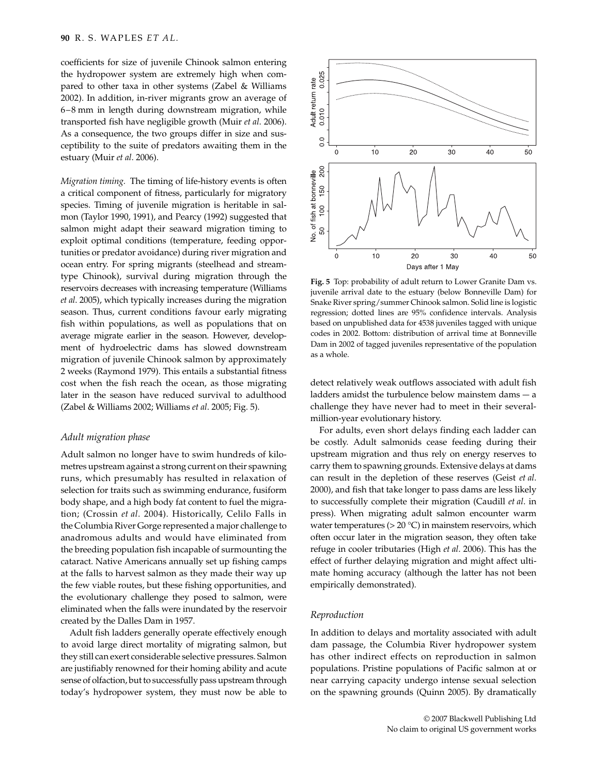coefficients for size of juvenile Chinook salmon entering the hydropower system are extremely high when compared to other taxa in other systems (Zabel & Williams 2002). In addition, in-river migrants grow an average of 6–8 mm in length during downstream migration, while transported fish have negligible growth (Muir *et al*. 2006). As a consequence, the two groups differ in size and susceptibility to the suite of predators awaiting them in the estuary (Muir *et al*. 2006).

*Migration timing.* The timing of life-history events is often a critical component of fitness, particularly for migratory species. Timing of juvenile migration is heritable in salmon (Taylor 1990, 1991), and Pearcy (1992) suggested that salmon might adapt their seaward migration timing to exploit optimal conditions (temperature, feeding opportunities or predator avoidance) during river migration and ocean entry. For spring migrants (steelhead and streamtype Chinook), survival during migration through the reservoirs decreases with increasing temperature (Williams *et al*. 2005), which typically increases during the migration season. Thus, current conditions favour early migrating fish within populations, as well as populations that on average migrate earlier in the season. However, development of hydroelectric dams has slowed downstream migration of juvenile Chinook salmon by approximately 2 weeks (Raymond 1979). This entails a substantial fitness cost when the fish reach the ocean, as those migrating later in the season have reduced survival to adulthood (Zabel & Williams 2002; Williams *et al*. 2005; Fig. 5).

#### *Adult migration phase*

Adult salmon no longer have to swim hundreds of kilometres upstream against a strong current on their spawning runs, which presumably has resulted in relaxation of selection for traits such as swimming endurance, fusiform body shape, and a high body fat content to fuel the migration; (Crossin *et al*. 2004). Historically, Celilo Falls in the Columbia River Gorge represented a major challenge to anadromous adults and would have eliminated from the breeding population fish incapable of surmounting the cataract. Native Americans annually set up fishing camps at the falls to harvest salmon as they made their way up the few viable routes, but these fishing opportunities, and the evolutionary challenge they posed to salmon, were eliminated when the falls were inundated by the reservoir created by the Dalles Dam in 1957.

Adult fish ladders generally operate effectively enough to avoid large direct mortality of migrating salmon, but they still can exert considerable selective pressures. Salmon are justifiably renowned for their homing ability and acute sense of olfaction, but to successfully pass upstream through today's hydropower system, they must now be able to



**Fig. 5** Top: probability of adult return to Lower Granite Dam vs. juvenile arrival date to the estuary (below Bonneville Dam) for Snake River spring/summer Chinook salmon. Solid line is logistic regression; dotted lines are 95% confidence intervals. Analysis based on unpublished data for 4538 juveniles tagged with unique codes in 2002. Bottom: distribution of arrival time at Bonneville Dam in 2002 of tagged juveniles representative of the population as a whole.

detect relatively weak outflows associated with adult fish ladders amidst the turbulence below mainstem dams — a challenge they have never had to meet in their severalmillion-year evolutionary history.

For adults, even short delays finding each ladder can be costly. Adult salmonids cease feeding during their upstream migration and thus rely on energy reserves to carry them to spawning grounds. Extensive delays at dams can result in the depletion of these reserves (Geist *et al*. 2000), and fish that take longer to pass dams are less likely to successfully complete their migration (Caudill *et al*. in press). When migrating adult salmon encounter warm water temperatures ( $> 20$  °C) in mainstem reservoirs, which often occur later in the migration season, they often take refuge in cooler tributaries (High *et al*. 2006). This has the effect of further delaying migration and might affect ultimate homing accuracy (although the latter has not been empirically demonstrated).

## *Reproduction*

In addition to delays and mortality associated with adult dam passage, the Columbia River hydropower system has other indirect effects on reproduction in salmon populations. Pristine populations of Pacific salmon at or near carrying capacity undergo intense sexual selection on the spawning grounds (Quinn 2005). By dramatically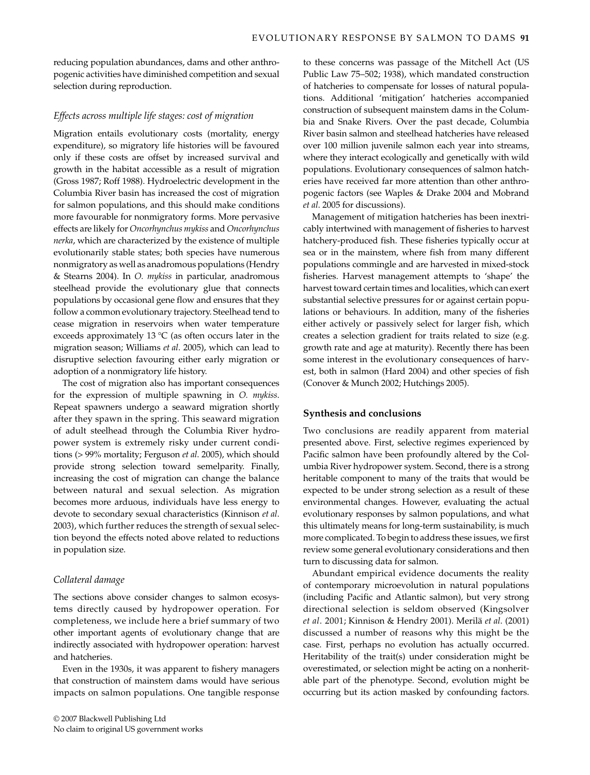reducing population abundances, dams and other anthropogenic activities have diminished competition and sexual selection during reproduction.

## *Effects across multiple life stages: cost of migration*

Migration entails evolutionary costs (mortality, energy expenditure), so migratory life histories will be favoured only if these costs are offset by increased survival and growth in the habitat accessible as a result of migration (Gross 1987; Roff 1988). Hydroelectric development in the Columbia River basin has increased the cost of migration for salmon populations, and this should make conditions more favourable for nonmigratory forms. More pervasive effects are likely for *Oncorhynchus mykiss* and *Oncorhynchus nerka*, which are characterized by the existence of multiple evolutionarily stable states; both species have numerous nonmigratory as well as anadromous populations (Hendry & Stearns 2004). In *O. mykiss* in particular, anadromous steelhead provide the evolutionary glue that connects populations by occasional gene flow and ensures that they follow a common evolutionary trajectory. Steelhead tend to cease migration in reservoirs when water temperature exceeds approximately 13 °C (as often occurs later in the migration season; Williams *et al*. 2005), which can lead to disruptive selection favouring either early migration or adoption of a nonmigratory life history.

The cost of migration also has important consequences for the expression of multiple spawning in *O. mykiss*. Repeat spawners undergo a seaward migration shortly after they spawn in the spring. This seaward migration of adult steelhead through the Columbia River hydropower system is extremely risky under current conditions (> 99% mortality; Ferguson *et al*. 2005), which should provide strong selection toward semelparity. Finally, increasing the cost of migration can change the balance between natural and sexual selection. As migration becomes more arduous, individuals have less energy to devote to secondary sexual characteristics (Kinnison *et al*. 2003), which further reduces the strength of sexual selection beyond the effects noted above related to reductions in population size.

## *Collateral damage*

The sections above consider changes to salmon ecosystems directly caused by hydropower operation. For completeness, we include here a brief summary of two other important agents of evolutionary change that are indirectly associated with hydropower operation: harvest and hatcheries.

Even in the 1930s, it was apparent to fishery managers that construction of mainstem dams would have serious impacts on salmon populations. One tangible response to these concerns was passage of the Mitchell Act (US Public Law 75–502; 1938), which mandated construction of hatcheries to compensate for losses of natural populations. Additional 'mitigation' hatcheries accompanied construction of subsequent mainstem dams in the Columbia and Snake Rivers. Over the past decade, Columbia River basin salmon and steelhead hatcheries have released over 100 million juvenile salmon each year into streams, where they interact ecologically and genetically with wild populations. Evolutionary consequences of salmon hatcheries have received far more attention than other anthropogenic factors (see Waples & Drake 2004 and Mobrand *et al*. 2005 for discussions).

Management of mitigation hatcheries has been inextricably intertwined with management of fisheries to harvest hatchery-produced fish. These fisheries typically occur at sea or in the mainstem, where fish from many different populations commingle and are harvested in mixed-stock fisheries. Harvest management attempts to 'shape' the harvest toward certain times and localities, which can exert substantial selective pressures for or against certain populations or behaviours. In addition, many of the fisheries either actively or passively select for larger fish, which creates a selection gradient for traits related to size (e.g. growth rate and age at maturity). Recently there has been some interest in the evolutionary consequences of harvest, both in salmon (Hard 2004) and other species of fish (Conover & Munch 2002; Hutchings 2005).

## **Synthesis and conclusions**

Two conclusions are readily apparent from material presented above. First, selective regimes experienced by Pacific salmon have been profoundly altered by the Columbia River hydropower system. Second, there is a strong heritable component to many of the traits that would be expected to be under strong selection as a result of these environmental changes. However, evaluating the actual evolutionary responses by salmon populations, and what this ultimately means for long-term sustainability, is much more complicated. To begin to address these issues, we first review some general evolutionary considerations and then turn to discussing data for salmon.

Abundant empirical evidence documents the reality of contemporary microevolution in natural populations (including Pacific and Atlantic salmon), but very strong directional selection is seldom observed (Kingsolver *et al*. 2001; Kinnison & Hendry 2001). Merilä *et al*. (2001) discussed a number of reasons why this might be the case. First, perhaps no evolution has actually occurred. Heritability of the trait(s) under consideration might be overestimated, or selection might be acting on a nonheritable part of the phenotype. Second, evolution might be occurring but its action masked by confounding factors.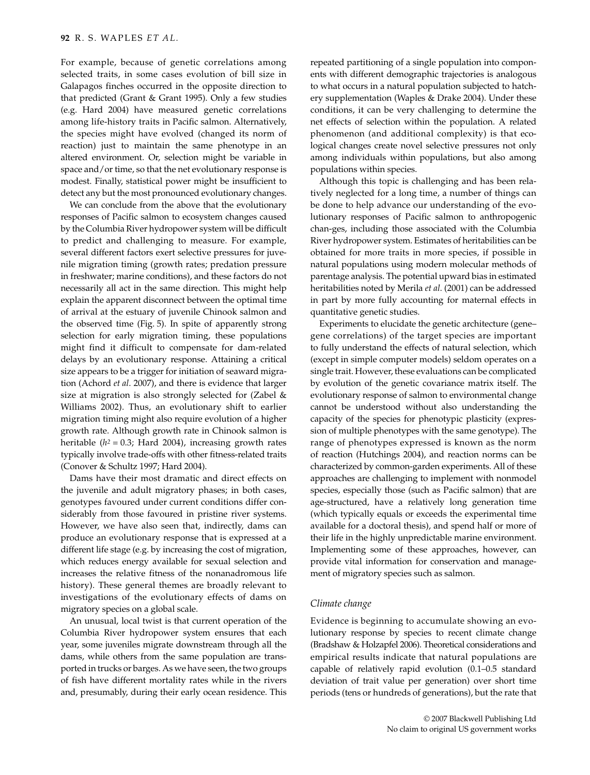For example, because of genetic correlations among selected traits, in some cases evolution of bill size in Galapagos finches occurred in the opposite direction to that predicted (Grant & Grant 1995). Only a few studies (e.g. Hard 2004) have measured genetic correlations among life-history traits in Pacific salmon. Alternatively, the species might have evolved (changed its norm of reaction) just to maintain the same phenotype in an altered environment. Or, selection might be variable in space and/or time, so that the net evolutionary response is modest. Finally, statistical power might be insufficient to detect any but the most pronounced evolutionary changes.

We can conclude from the above that the evolutionary responses of Pacific salmon to ecosystem changes caused by the Columbia River hydropower system will be difficult to predict and challenging to measure. For example, several different factors exert selective pressures for juvenile migration timing (growth rates; predation pressure in freshwater; marine conditions), and these factors do not necessarily all act in the same direction. This might help explain the apparent disconnect between the optimal time of arrival at the estuary of juvenile Chinook salmon and the observed time (Fig. 5). In spite of apparently strong selection for early migration timing, these populations might find it difficult to compensate for dam-related delays by an evolutionary response. Attaining a critical size appears to be a trigger for initiation of seaward migration (Achord *et al*. 2007), and there is evidence that larger size at migration is also strongly selected for (Zabel & Williams 2002). Thus, an evolutionary shift to earlier migration timing might also require evolution of a higher growth rate. Although growth rate in Chinook salmon is heritable (*h2* = 0.3; Hard 2004), increasing growth rates typically involve trade-offs with other fitness-related traits (Conover & Schultz 1997; Hard 2004).

Dams have their most dramatic and direct effects on the juvenile and adult migratory phases; in both cases, genotypes favoured under current conditions differ considerably from those favoured in pristine river systems. However, we have also seen that, indirectly, dams can produce an evolutionary response that is expressed at a different life stage (e.g. by increasing the cost of migration, which reduces energy available for sexual selection and increases the relative fitness of the nonanadromous life history). These general themes are broadly relevant to investigations of the evolutionary effects of dams on migratory species on a global scale.

An unusual, local twist is that current operation of the Columbia River hydropower system ensures that each year, some juveniles migrate downstream through all the dams, while others from the same population are transported in trucks or barges. As we have seen, the two groups of fish have different mortality rates while in the rivers and, presumably, during their early ocean residence. This

repeated partitioning of a single population into components with different demographic trajectories is analogous to what occurs in a natural population subjected to hatchery supplementation (Waples & Drake 2004). Under these conditions, it can be very challenging to determine the net effects of selection within the population. A related phenomenon (and additional complexity) is that ecological changes create novel selective pressures not only among individuals within populations, but also among populations within species.

Although this topic is challenging and has been relatively neglected for a long time, a number of things can be done to help advance our understanding of the evolutionary responses of Pacific salmon to anthropogenic chan-ges, including those associated with the Columbia River hydropower system. Estimates of heritabilities can be obtained for more traits in more species, if possible in natural populations using modern molecular methods of parentage analysis. The potential upward bias in estimated heritabilities noted by Merila *et al*. (2001) can be addressed in part by more fully accounting for maternal effects in quantitative genetic studies.

Experiments to elucidate the genetic architecture (gene– gene correlations) of the target species are important to fully understand the effects of natural selection, which (except in simple computer models) seldom operates on a single trait. However, these evaluations can be complicated by evolution of the genetic covariance matrix itself. The evolutionary response of salmon to environmental change cannot be understood without also understanding the capacity of the species for phenotypic plasticity (expression of multiple phenotypes with the same genotype). The range of phenotypes expressed is known as the norm of reaction (Hutchings 2004), and reaction norms can be characterized by common-garden experiments. All of these approaches are challenging to implement with nonmodel species, especially those (such as Pacific salmon) that are age-structured, have a relatively long generation time (which typically equals or exceeds the experimental time available for a doctoral thesis), and spend half or more of their life in the highly unpredictable marine environment. Implementing some of these approaches, however, can provide vital information for conservation and management of migratory species such as salmon.

## *Climate change*

Evidence is beginning to accumulate showing an evolutionary response by species to recent climate change (Bradshaw & Holzapfel 2006). Theoretical considerations and empirical results indicate that natural populations are capable of relatively rapid evolution (0.1–0.5 standard deviation of trait value per generation) over short time periods (tens or hundreds of generations), but the rate that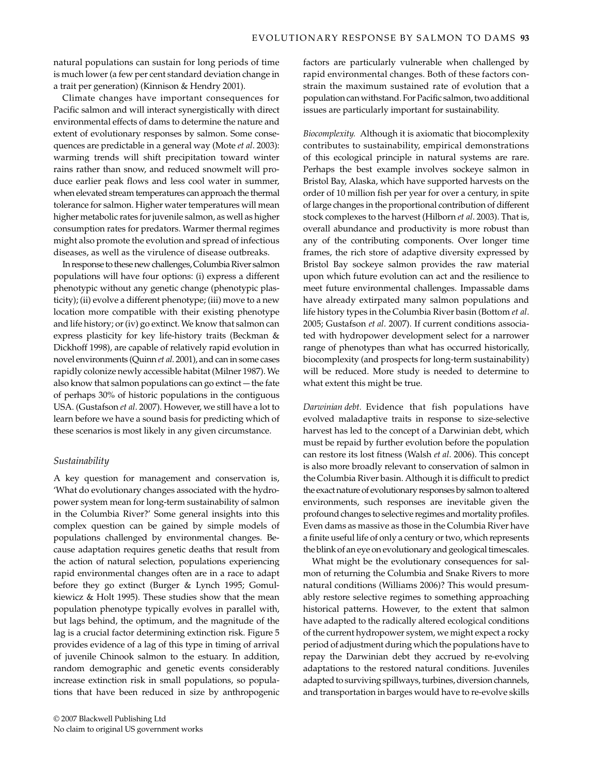natural populations can sustain for long periods of time is much lower (a few per cent standard deviation change in a trait per generation) (Kinnison & Hendry 2001).

Climate changes have important consequences for Pacific salmon and will interact synergistically with direct environmental effects of dams to determine the nature and extent of evolutionary responses by salmon. Some consequences are predictable in a general way (Mote *et al*. 2003): warming trends will shift precipitation toward winter rains rather than snow, and reduced snowmelt will produce earlier peak flows and less cool water in summer, when elevated stream temperatures can approach the thermal tolerance for salmon. Higher water temperatures will mean higher metabolic rates for juvenile salmon, as well as higher consumption rates for predators. Warmer thermal regimes might also promote the evolution and spread of infectious diseases, as well as the virulence of disease outbreaks.

In response to these new challenges, Columbia River salmon populations will have four options: (i) express a different phenotypic without any genetic change (phenotypic plasticity); (ii) evolve a different phenotype; (iii) move to a new location more compatible with their existing phenotype and life history; or (iv) go extinct. We know that salmon can express plasticity for key life-history traits (Beckman & Dickhoff 1998), are capable of relatively rapid evolution in novel environments (Quinn *et al*. 2001), and can in some cases rapidly colonize newly accessible habitat (Milner 1987). We also know that salmon populations can go extinct — the fate of perhaps 30% of historic populations in the contiguous USA. (Gustafson *et al*. 2007). However, we still have a lot to learn before we have a sound basis for predicting which of these scenarios is most likely in any given circumstance.

## *Sustainability*

A key question for management and conservation is, 'What do evolutionary changes associated with the hydropower system mean for long-term sustainability of salmon in the Columbia River?' Some general insights into this complex question can be gained by simple models of populations challenged by environmental changes. Because adaptation requires genetic deaths that result from the action of natural selection, populations experiencing rapid environmental changes often are in a race to adapt before they go extinct (Burger & Lynch 1995; Gomulkiewicz & Holt 1995). These studies show that the mean population phenotype typically evolves in parallel with, but lags behind, the optimum, and the magnitude of the lag is a crucial factor determining extinction risk. Figure 5 provides evidence of a lag of this type in timing of arrival of juvenile Chinook salmon to the estuary. In addition, random demographic and genetic events considerably increase extinction risk in small populations, so populations that have been reduced in size by anthropogenic factors are particularly vulnerable when challenged by rapid environmental changes. Both of these factors constrain the maximum sustained rate of evolution that a population can withstand. For Pacific salmon, two additional issues are particularly important for sustainability.

*Biocomplexity.* Although it is axiomatic that biocomplexity contributes to sustainability, empirical demonstrations of this ecological principle in natural systems are rare. Perhaps the best example involves sockeye salmon in Bristol Bay, Alaska, which have supported harvests on the order of 10 million fish per year for over a century, in spite of large changes in the proportional contribution of different stock complexes to the harvest (Hilborn *et al*. 2003). That is, overall abundance and productivity is more robust than any of the contributing components. Over longer time frames, the rich store of adaptive diversity expressed by Bristol Bay sockeye salmon provides the raw material upon which future evolution can act and the resilience to meet future environmental challenges. Impassable dams have already extirpated many salmon populations and life history types in the Columbia River basin (Bottom *et al*. 2005; Gustafson *et al*. 2007). If current conditions associated with hydropower development select for a narrower range of phenotypes than what has occurred historically, biocomplexity (and prospects for long-term sustainability) will be reduced. More study is needed to determine to what extent this might be true.

*Darwinian debt.* Evidence that fish populations have evolved maladaptive traits in response to size-selective harvest has led to the concept of a Darwinian debt, which must be repaid by further evolution before the population can restore its lost fitness (Walsh *et al*. 2006). This concept is also more broadly relevant to conservation of salmon in the Columbia River basin. Although it is difficult to predict the exact nature of evolutionary responses by salmon to altered environments, such responses are inevitable given the profound changes to selective regimes and mortality profiles. Even dams as massive as those in the Columbia River have a finite useful life of only a century or two, which represents the blink of an eye on evolutionary and geological timescales.

What might be the evolutionary consequences for salmon of returning the Columbia and Snake Rivers to more natural conditions (Williams 2006)? This would presumably restore selective regimes to something approaching historical patterns. However, to the extent that salmon have adapted to the radically altered ecological conditions of the current hydropower system, we might expect a rocky period of adjustment during which the populations have to repay the Darwinian debt they accrued by re-evolving adaptations to the restored natural conditions. Juveniles adapted to surviving spillways, turbines, diversion channels, and transportation in barges would have to re-evolve skills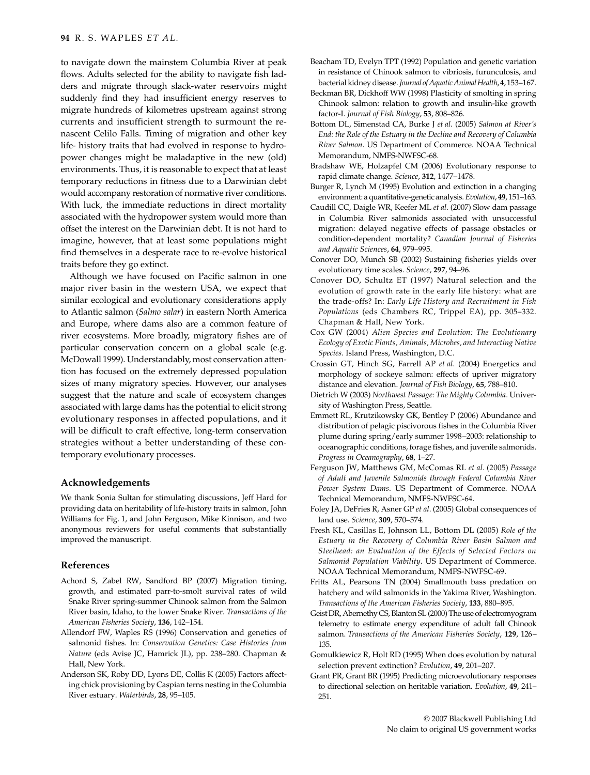## **94** R. S. WAPLES *ET AL.*

to navigate down the mainstem Columbia River at peak flows. Adults selected for the ability to navigate fish ladders and migrate through slack-water reservoirs might suddenly find they had insufficient energy reserves to migrate hundreds of kilometres upstream against strong currents and insufficient strength to surmount the renascent Celilo Falls. Timing of migration and other key life- history traits that had evolved in response to hydropower changes might be maladaptive in the new (old) environments. Thus, it is reasonable to expect that at least temporary reductions in fitness due to a Darwinian debt would accompany restoration of normative river conditions. With luck, the immediate reductions in direct mortality associated with the hydropower system would more than offset the interest on the Darwinian debt. It is not hard to imagine, however, that at least some populations might find themselves in a desperate race to re-evolve historical traits before they go extinct.

Although we have focused on Pacific salmon in one major river basin in the western USA, we expect that similar ecological and evolutionary considerations apply to Atlantic salmon (*Salmo salar*) in eastern North America and Europe, where dams also are a common feature of river ecosystems. More broadly, migratory fishes are of particular conservation concern on a global scale (e.g. McDowall 1999). Understandably, most conservation attention has focused on the extremely depressed population sizes of many migratory species. However, our analyses suggest that the nature and scale of ecosystem changes associated with large dams has the potential to elicit strong evolutionary responses in affected populations, and it will be difficult to craft effective, long-term conservation strategies without a better understanding of these contemporary evolutionary processes.

## **Acknowledgements**

We thank Sonia Sultan for stimulating discussions, Jeff Hard for providing data on heritability of life-history traits in salmon, John Williams for Fig. 1, and John Ferguson, Mike Kinnison, and two anonymous reviewers for useful comments that substantially improved the manuscript.

## **References**

- Achord S, Zabel RW, Sandford BP (2007) Migration timing, growth, and estimated parr-to-smolt survival rates of wild Snake River spring-summer Chinook salmon from the Salmon River basin, Idaho, to the lower Snake River. *Transactions of the American Fisheries Society*, **136**, 142–154.
- Allendorf FW, Waples RS (1996) Conservation and genetics of salmonid fishes. In: *Conservation Genetics: Case Histories from Nature* (eds Avise JC, Hamrick JL), pp. 238–280. Chapman & Hall, New York.
- Anderson SK, Roby DD, Lyons DE, Collis K (2005) Factors affecting chick provisioning by Caspian terns nesting in the Columbia River estuary. *Waterbirds*, **28**, 95–105.
- Beacham TD, Evelyn TPT (1992) Population and genetic variation in resistance of Chinook salmon to vibriosis, furunculosis, and bacterial kidney disease. *Journal of Aquatic Animal Health*, **4**, 153–167.
- Beckman BR, Dickhoff WW (1998) Plasticity of smolting in spring Chinook salmon: relation to growth and insulin-like growth factor-I. *Journal of Fish Biology*, **53**, 808–826.
- Bottom DL, Simenstad CA, Burke J *et al*. (2005) *Salmon at River's End: the Role of the Estuary in the Decline and Recovery of Columbia River Salmon*. US Department of Commerce. NOAA Technical Memorandum, NMFS-NWFSC-68.
- Bradshaw WE, Holzapfel CM (2006) Evolutionary response to rapid climate change. *Science*, **312**, 1477–1478.
- Burger R, Lynch M (1995) Evolution and extinction in a changing environment: a quantitative-genetic analysis. *Evolution*, **49**, 151–163.
- Caudill CC, Daigle WR, Keefer ML *et al*. (2007) Slow dam passage in Columbia River salmonids associated with unsuccessful migration: delayed negative effects of passage obstacles or condition-dependent mortality? *Canadian Journal of Fisheries and Aquatic Sciences*, **64**, 979–995.
- Conover DO, Munch SB (2002) Sustaining fisheries yields over evolutionary time scales. *Science*, **297**, 94–96.
- Conover DO, Schultz ET (1997) Natural selection and the evolution of growth rate in the early life history: what are the trade-offs? In: *Early Life History and Recruitment in Fish Populations* (eds Chambers RC, Trippel EA), pp. 305–332. Chapman & Hall, New York.
- Cox GW (2004) *Alien Species and Evolution: The Evolutionary Ecology of Exotic Plants, Animals, Microbes, and Interacting Native Species*. Island Press, Washington, D.C.
- Crossin GT, Hinch SG, Farrell AP *et al*. (2004) Energetics and morphology of sockeye salmon: effects of upriver migratory distance and elevation. *Journal of Fish Biology*, **65**, 788–810.
- Dietrich W (2003) *Northwest Passage: The Mighty Columbia*. University of Washington Press, Seattle.
- Emmett RL, Krutzikowsky GK, Bentley P (2006) Abundance and distribution of pelagic piscivorous fishes in the Columbia River plume during spring/early summer 1998–2003: relationship to oceanographic conditions, forage fishes, and juvenile salmonids. *Progress in Oceanography*, **68**, 1–27.
- Ferguson JW, Matthews GM, McComas RL *et al*. (2005) *Passage of Adult and Juvenile Salmonids through Federal Columbia River Power System Dams*. US Department of Commerce. NOAA Technical Memorandum, NMFS-NWFSC-64.
- Foley JA, DeFries R, Asner GP *et al*. (2005) Global consequences of land use. *Science*, **309**, 570–574.
- Fresh KL, Casillas E, Johnson LL, Bottom DL (2005) *Role of the Estuary in the Recovery of Columbia River Basin Salmon and Steelhead: an Evaluation of the Effects of Selected Factors on Salmonid Population Viability*. US Department of Commerce. NOAA Technical Memorandum, NMFS-NWFSC-69.
- Fritts AL, Pearsons TN (2004) Smallmouth bass predation on hatchery and wild salmonids in the Yakima River, Washington. *Transactions of the American Fisheries Society*, **133**, 880–895.
- Geist DR, Abernethy CS, Blanton SL (2000) The use of electromyogram telemetry to estimate energy expenditure of adult fall Chinook salmon. *Transactions of the American Fisheries Society*, **129**, 126– 135.
- Gomulkiewicz R, Holt RD (1995) When does evolution by natural selection prevent extinction? *Evolution*, **49**, 201–207.
- Grant PR, Grant BR (1995) Predicting microevolutionary responses to directional selection on heritable variation. *Evolution*, **49**, 241– 251.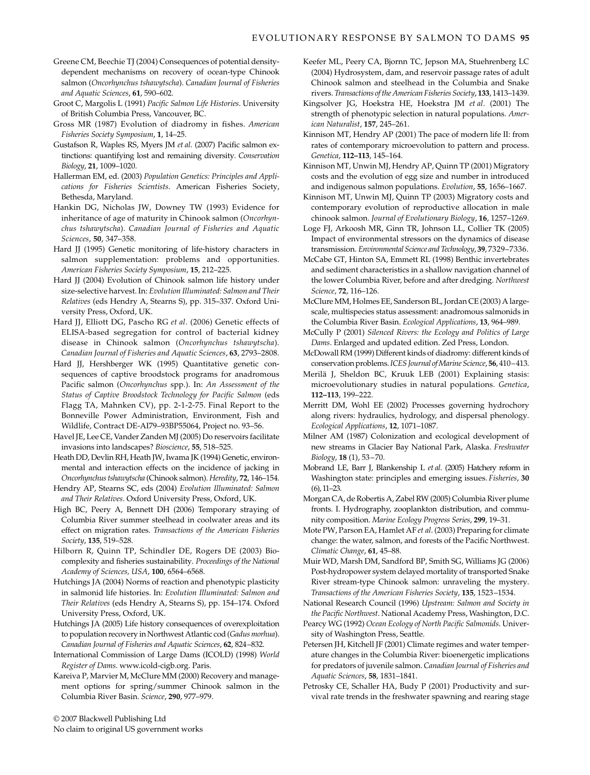- Greene CM, Beechie TJ (2004) Consequences of potential densitydependent mechanisms on recovery of ocean-type Chinook salmon (*Oncorhynchus tshawytscha*). *Canadian Journal of Fisheries and Aquatic Sciences*, **61**, 590–602.
- Groot C, Margolis L (1991) *Pacific Salmon Life Histories*. University of British Columbia Press, Vancouver, BC.
- Gross MR (1987) Evolution of diadromy in fishes. *American Fisheries Society Symposium*, **1**, 14–25.
- Gustafson R, Waples RS, Myers JM *et al*. (2007) Pacific salmon extinctions: quantifying lost and remaining diversity. *Conservation Biology*, **21**, 1009–1020.
- Hallerman EM, ed. (2003) *Population Genetics: Principles and Applications for Fisheries Scientists*. American Fisheries Society, Bethesda, Maryland.
- Hankin DG, Nicholas JW, Downey TW (1993) Evidence for inheritance of age of maturity in Chinook salmon (*Oncorhynchus tshawytscha*). *Canadian Journal of Fisheries and Aquatic Sciences*, **50**, 347–358.
- Hard JJ (1995) Genetic monitoring of life-history characters in salmon supplementation: problems and opportunities. *American Fisheries Society Symposium*, **15**, 212–225.
- Hard JJ (2004) Evolution of Chinook salmon life history under size-selective harvest. In: *Evolution Illuminated: Salmon and Their Relatives* (eds Hendry A, Stearns S), pp. 315–337. Oxford University Press, Oxford, UK.
- Hard JJ, Elliott DG, Pascho RG *et al*. (2006) Genetic effects of ELISA-based segregation for control of bacterial kidney disease in Chinook salmon (*Oncorhynchus tshawytscha*). *Canadian Journal of Fisheries and Aquatic Sciences*, **63**, 2793–2808.
- Hard JJ, Hershberger WK (1995) Quantitative genetic consequences of captive broodstock programs for anadromous Pacific salmon (*Oncorhynchus* spp.). In: *An Assessment of the Status of Captive Broodstock Technology for Pacific Salmon* (eds Flagg TA, Mahnken CV), pp. 2-1-2-75. Final Report to the Bonneville Power Administration, Environment, Fish and Wildlife, Contract DE-AI79–93BP55064, Project no. 93–56.

Havel JE, Lee CE, Vander Zanden MJ (2005) Do reservoirs facilitate invasions into landscapes? *Bioscience*, **55**, 518–525.

- Heath DD, Devlin RH, Heath JW, Iwama JK (1994) Genetic, environmental and interaction effects on the incidence of jacking in *Oncorhynchus tshawytscha* (Chinook salmon). *Heredity*, **72**, 146–154.
- Hendry AP, Stearns SC, eds (2004) *Evolution Illuminated: Salmon and Their Relatives*. Oxford University Press, Oxford, UK.
- High BC, Peery A, Bennett DH (2006) Temporary straying of Columbia River summer steelhead in coolwater areas and its effect on migration rates. *Transactions of the American Fisheries Society*, **135**, 519–528.
- Hilborn R, Quinn TP, Schindler DE, Rogers DE (2003) Biocomplexity and fisheries sustainability. *Proceedings of the National Academy of Sciences, USA*, **100**, 6564–6568.
- Hutchings JA (2004) Norms of reaction and phenotypic plasticity in salmonid life histories. In: *Evolution Illuminated: Salmon and Their Relatives* (eds Hendry A, Stearns S), pp. 154–174. Oxford University Press, Oxford, UK.
- Hutchings JA (2005) Life history consequences of overexploitation to population recovery in Northwest Atlantic cod (*Gadus morhua*). *Canadian Journal of Fisheries and Aquatic Sciences*, **62**, 824–832.
- International Commission of Large Dams (ICOLD) (1998) *World Register of Dams*. [www.icold-cigb.org. Paris.](www.icold-cigb.org.Paris)
- Kareiva P, Marvier M, McClure MM (2000) Recovery and management options for spring/summer Chinook salmon in the Columbia River Basin. *Science*, **290**, 977–979.
- Keefer ML, Peery CA, Bjornn TC, Jepson MA, Stuehrenberg LC (2004) Hydrosystem, dam, and reservoir passage rates of adult Chinook salmon and steelhead in the Columbia and Snake rivers. *Transactions of the American Fisheries Society*, **133**, 1413–1439.
- Kingsolver JG, Hoekstra HE, Hoekstra JM *et al*. (2001) The strength of phenotypic selection in natural populations. *American Naturalist*, **157**, 245–261.
- Kinnison MT, Hendry AP (2001) The pace of modern life II: from rates of contemporary microevolution to pattern and process. *Genetica*, **112–113**, 145–164.
- Kinnison MT, Unwin MJ, Hendry AP, Quinn TP (2001) Migratory costs and the evolution of egg size and number in introduced and indigenous salmon populations. *Evolution*, **55**, 1656–1667.
- Kinnison MT, Unwin MJ, Quinn TP (2003) Migratory costs and contemporary evolution of reproductive allocation in male chinook salmon. *Journal of Evolutionary Biology*, **16**, 1257–1269.
- Loge FJ, Arkoosh MR, Ginn TR, Johnson LL, Collier TK (2005) Impact of environmental stressors on the dynamics of disease transmission. *Environmental Science and Technology*, **39**, 7329–7336.
- McCabe GT, Hinton SA, Emmett RL (1998) Benthic invertebrates and sediment characteristics in a shallow navigation channel of the lower Columbia River, before and after dredging. *Northwest Science*, **72**, 116–126.
- McClure MM, Holmes EE, Sanderson BL, Jordan CE (2003) A largescale, multispecies status assessment: anadromous salmonids in the Columbia River Basin. *Ecological Applications*, **13**, 964–989.
- McCully P (2001) *Silenced Rivers: the Ecology and Politics of Large Dams*. Enlarged and updated edition. Zed Press, London.
- McDowall RM (1999) Different kinds of diadromy: different kinds of conservation problems. *ICES Journal of Marine Science*, **56**, 410–413.
- Merilä J, Sheldon BC, Kruuk LEB (2001) Explaining stasis: microevolutionary studies in natural populations. *Genetica*, **112–113**, 199–222.
- Merritt DM, Wohl EE (2002) Processes governing hydrochory along rivers: hydraulics, hydrology, and dispersal phenology. *Ecological Applications*, **12**, 1071–1087.
- Milner AM (1987) Colonization and ecological development of new streams in Glacier Bay National Park, Alaska. *Freshwater Biology*, **18** (1), 53–70.
- Mobrand LE, Barr J, Blankenship L *et al*. (2005) Hatchery reform in Washington state: principles and emerging issues. *Fisheries*, **30** (6), 11–23.
- Morgan CA, de Robertis A, Zabel RW (2005) Columbia River plume fronts. I. Hydrography, zooplankton distribution, and community composition. *Marine Ecology Progress Series*, **299**, 19–31.
- Mote PW, Parson EA, Hamlet AF *et al*. (2003) Preparing for climate change: the water, salmon, and forests of the Pacific Northwest. *Climatic Change*, **61**, 45–88.
- Muir WD, Marsh DM, Sandford BP, Smith SG, Williams JG (2006) Post-hydropower system delayed mortality of transported Snake River stream-type Chinook salmon: unraveling the mystery. *Transactions of the American Fisheries Society*, **135**, 1523–1534.
- National Research Council (1996) *Upstream: Salmon and Society in the Pacific Northwest*. National Academy Press, Washington, D.C.
- Pearcy WG (1992) *Ocean Ecology of North Pacific Salmonids*. University of Washington Press, Seattle.
- Petersen JH, Kitchell JF (2001) Climate regimes and water temperature changes in the Columbia River: bioenergetic implications for predators of juvenile salmon. *Canadian Journal of Fisheries and Aquatic Sciences*, **58**, 1831–1841.
- Petrosky CE, Schaller HA, Budy P (2001) Productivity and survival rate trends in the freshwater spawning and rearing stage

© 2007 Blackwell Publishing Ltd

No claim to original US government works